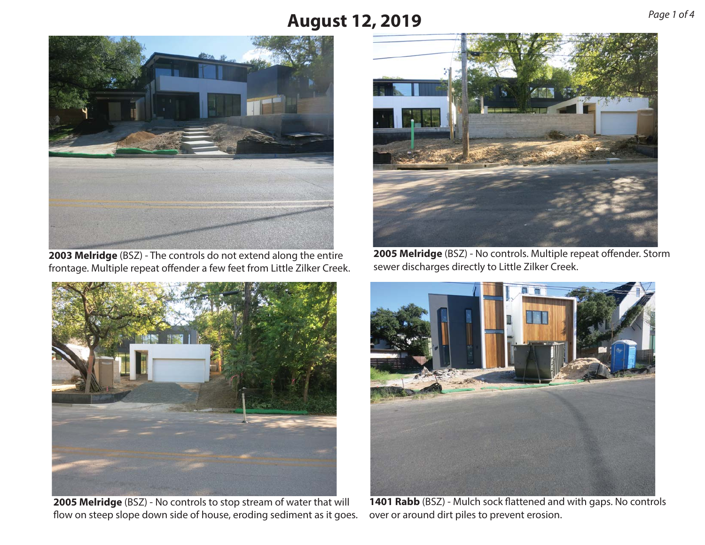

**2003 Melridge** (BSZ) - The controls do not extend along the entire frontage. Multiple repeat offender a few feet from Little Zilker Creek.



**2005 Melridge** (BSZ) - No controls to stop stream of water that will flow on steep slope down side of house, eroding sediment as it goes.



**2005 Melridge** (BSZ) - No controls. Multiple repeat offender. Storm sewer discharges directly to Little Zilker Creek.



**1401 Rabb** (BSZ) - Mulch sock flattened and with gaps. No controls over or around dirt piles to prevent erosion.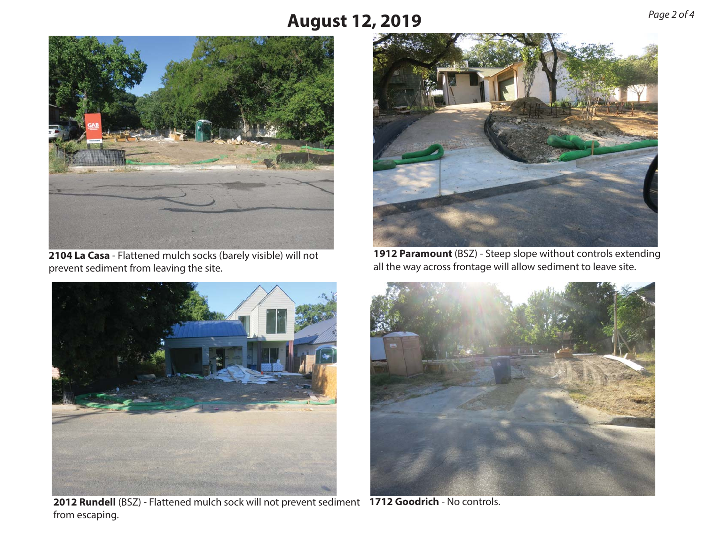

**2104 La Casa** - Flattened mulch socks (barely visible) will not prevent sediment from leaving the site.



**2012 Rundell** (BSZ) - Flattened mulch sock will not prevent sediment **1712 Goodrich** - No controls. from escaping.



**1912 Paramount** (BSZ) - Steep slope without controls extending all the way across frontage will allow sediment to leave site.

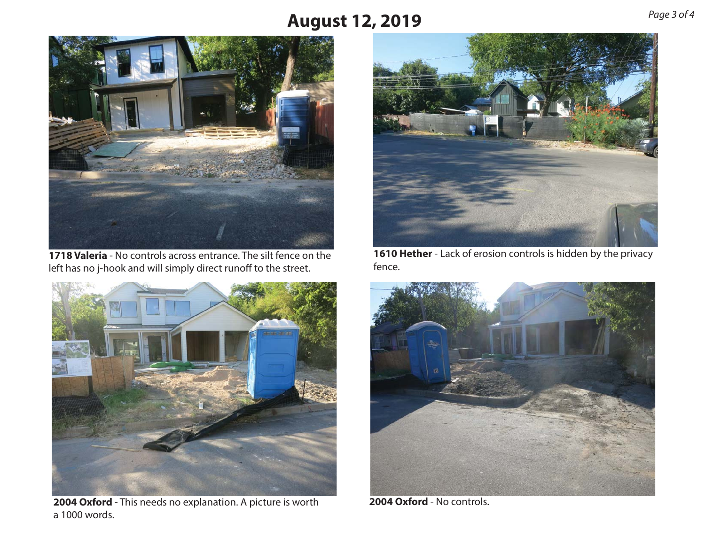

**1718 Valeria** - No controls across entrance. The silt fence on theleft has no j-hook and will simply direct runoff to the street.



**2004 Oxford** - This needs no explanation. A picture is worth a 1000 words.



**1610 Hether** - Lack of erosion controls is hidden by the privacy fence.



**2004 Oxford** - No controls.